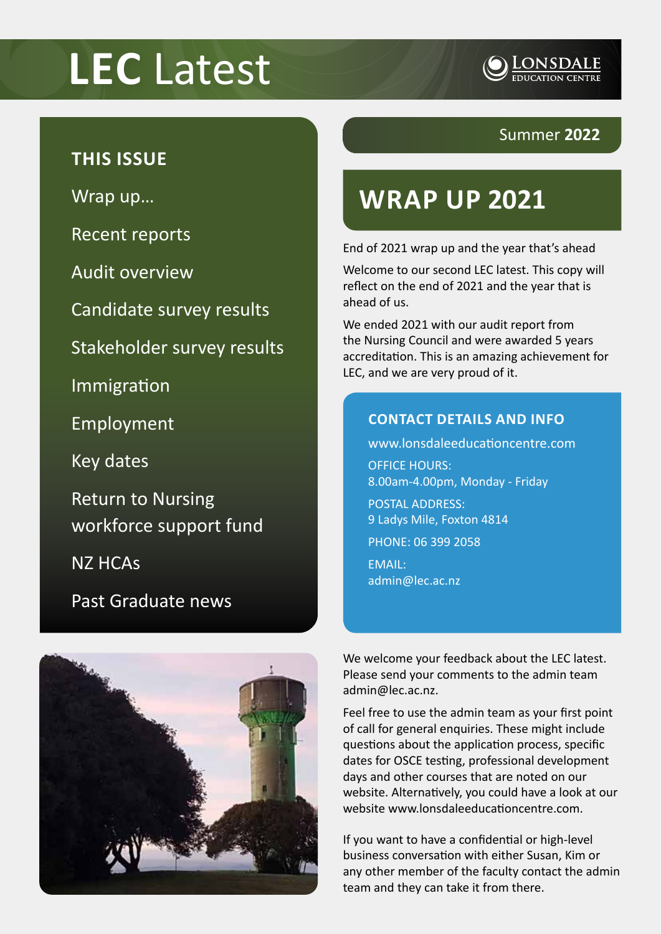# **LEC** Latest



#### **THIS ISSUE**

Wrap up…

Recent reports

Audit overview

Candidate survey results

Stakeholder survey results

Immigration

Employment

Key dates

Return to Nursing workforce support fund

NZ HCAs

Past Graduate news



#### Summer **2022**

## **WRAP UP 2021**

End of 2021 wrap up and the year that's ahead

Welcome to our second LEC latest. This copy will reflect on the end of 2021 and the year that is ahead of us.

We ended 2021 with our audit report from the Nursing Council and were awarded 5 years accreditation. This is an amazing achievement for LEC, and we are very proud of it.

#### **CONTACT DETAILS AND INFO**

www.lonsdaleeducationcentre.com OFFICE HOURS: 8.00am-4.00pm, Monday - Friday

POSTAL ADDRESS: 9 Ladys Mile, Foxton 4814

PHONE: 06 399 2058

EMAIL: admin@lec.ac.nz

We welcome your feedback about the LEC latest. Please send your comments to the admin team admin@lec.ac.nz.

Feel free to use the admin team as your first point of call for general enquiries. These might include questions about the application process, specific dates for OSCE testing, professional development days and other courses that are noted on our website. Alternatively, you could have a look at our website www.lonsdaleeducationcentre.com.

If you want to have a confidential or high-level business conversation with either Susan, Kim or any other member of the faculty contact the admin team and they can take it from there.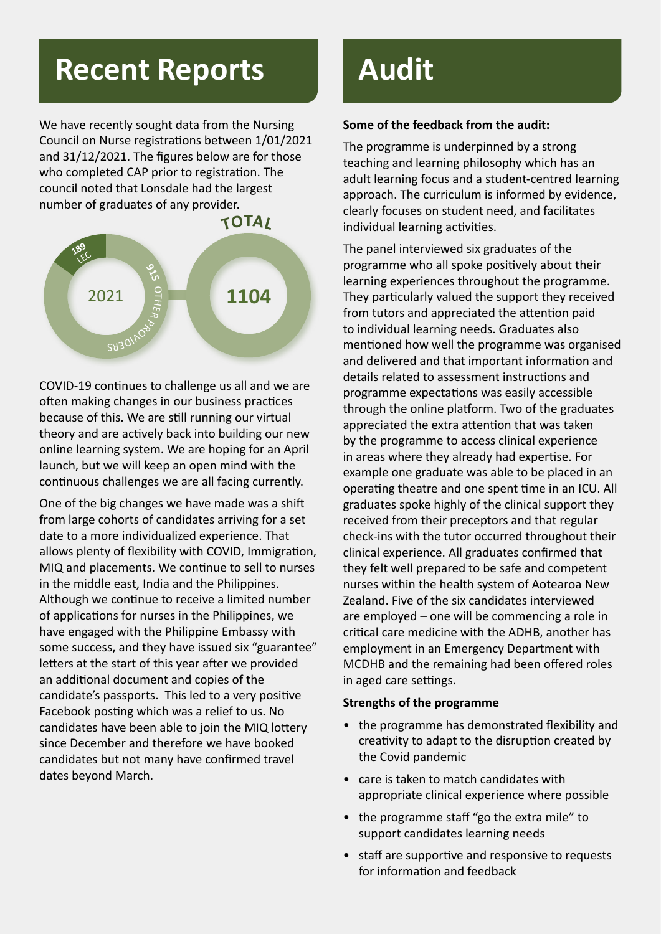# **Recent Reports**

We have recently sought data from the Nursing Council on Nurse registrations between 1/01/2021 and 31/12/2021. The figures below are for those who completed CAP prior to registration. The council noted that Lonsdale had the largest number of graduates of any provider.



COVID-19 continues to challenge us all and we are often making changes in our business practices because of this. We are still running our virtual theory and are actively back into building our new online learning system. We are hoping for an April launch, but we will keep an open mind with the continuous challenges we are all facing currently.

One of the big changes we have made was a shift from large cohorts of candidates arriving for a set date to a more individualized experience. That allows plenty of flexibility with COVID, Immigration, MIQ and placements. We continue to sell to nurses in the middle east, India and the Philippines. Although we continue to receive a limited number of applications for nurses in the Philippines, we have engaged with the Philippine Embassy with some success, and they have issued six "guarantee" letters at the start of this year after we provided an additional document and copies of the candidate's passports. This led to a very positive Facebook posting which was a relief to us. No candidates have been able to join the MIQ lottery since December and therefore we have booked candidates but not many have confirmed travel dates beyond March.

# **Audit**

#### **Some of the feedback from the audit:**

The programme is underpinned by a strong teaching and learning philosophy which has an adult learning focus and a student-centred learning approach. The curriculum is informed by evidence, clearly focuses on student need, and facilitates individual learning activities.

The panel interviewed six graduates of the programme who all spoke positively about their learning experiences throughout the programme. They particularly valued the support they received from tutors and appreciated the attention paid to individual learning needs. Graduates also mentioned how well the programme was organised and delivered and that important information and details related to assessment instructions and programme expectations was easily accessible through the online platform. Two of the graduates appreciated the extra attention that was taken by the programme to access clinical experience in areas where they already had expertise. For example one graduate was able to be placed in an operating theatre and one spent time in an ICU. All graduates spoke highly of the clinical support they received from their preceptors and that regular check-ins with the tutor occurred throughout their clinical experience. All graduates confirmed that they felt well prepared to be safe and competent nurses within the health system of Aotearoa New Zealand. Five of the six candidates interviewed are employed – one will be commencing a role in critical care medicine with the ADHB, another has employment in an Emergency Department with MCDHB and the remaining had been offered roles in aged care settings.

#### **Strengths of the programme**

- the programme has demonstrated flexibility and creativity to adapt to the disruption created by the Covid pandemic
- care is taken to match candidates with appropriate clinical experience where possible
- the programme staff "go the extra mile" to support candidates learning needs
- staff are supportive and responsive to requests for information and feedback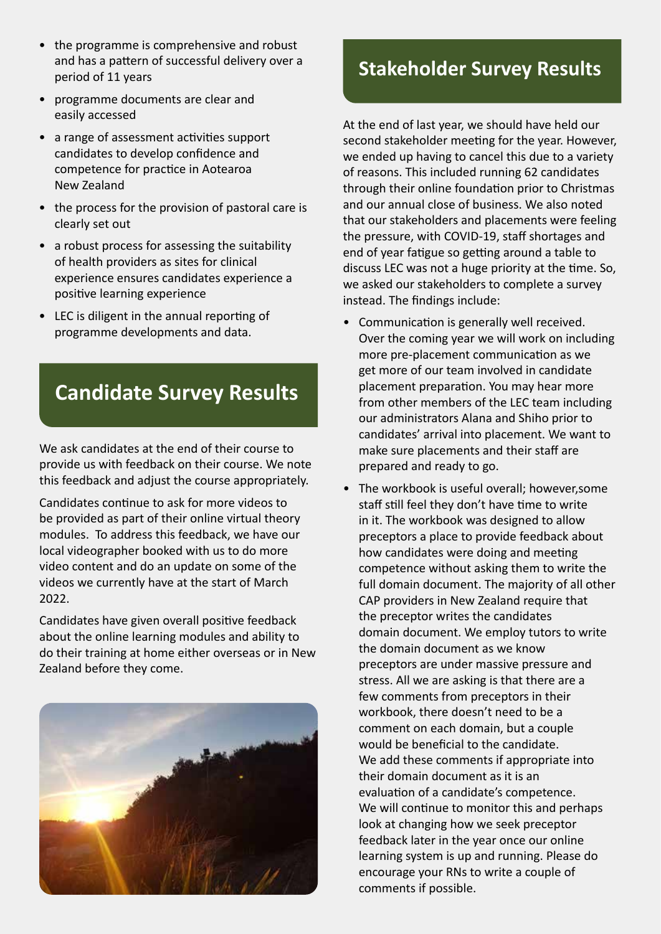- the programme is comprehensive and robust and has a pattern of successful delivery over a period of 11 years
- programme documents are clear and easily accessed
- a range of assessment activities support candidates to develop confidence and competence for practice in Aotearoa New Zealand
- the process for the provision of pastoral care is clearly set out
- a robust process for assessing the suitability of health providers as sites for clinical experience ensures candidates experience a positive learning experience
- LEC is diligent in the annual reporting of programme developments and data.

### **Candidate Survey Results**

We ask candidates at the end of their course to provide us with feedback on their course. We note this feedback and adjust the course appropriately.

Candidates continue to ask for more videos to be provided as part of their online virtual theory modules. To address this feedback, we have our local videographer booked with us to do more video content and do an update on some of the videos we currently have at the start of March 2022.

Candidates have given overall positive feedback about the online learning modules and ability to do their training at home either overseas or in New Zealand before they come.



#### **Stakeholder Survey Results**

At the end of last year, we should have held our second stakeholder meeting for the year. However, we ended up having to cancel this due to a variety of reasons. This included running 62 candidates through their online foundation prior to Christmas and our annual close of business. We also noted that our stakeholders and placements were feeling the pressure, with COVID-19, staff shortages and end of year fatigue so getting around a table to discuss LEC was not a huge priority at the time. So, we asked our stakeholders to complete a survey instead. The findings include:

- Communication is generally well received. Over the coming year we will work on including more pre-placement communication as we get more of our team involved in candidate placement preparation. You may hear more from other members of the LEC team including our administrators Alana and Shiho prior to candidates' arrival into placement. We want to make sure placements and their staff are prepared and ready to go.
- The workbook is useful overall; however,some staff still feel they don't have time to write in it. The workbook was designed to allow preceptors a place to provide feedback about how candidates were doing and meeting competence without asking them to write the full domain document. The majority of all other CAP providers in New Zealand require that the preceptor writes the candidates domain document. We employ tutors to write the domain document as we know preceptors are under massive pressure and stress. All we are asking is that there are a few comments from preceptors in their workbook, there doesn't need to be a comment on each domain, but a couple would be beneficial to the candidate. We add these comments if appropriate into their domain document as it is an evaluation of a candidate's competence. We will continue to monitor this and perhaps look at changing how we seek preceptor feedback later in the year once our online learning system is up and running. Please do encourage your RNs to write a couple of comments if possible.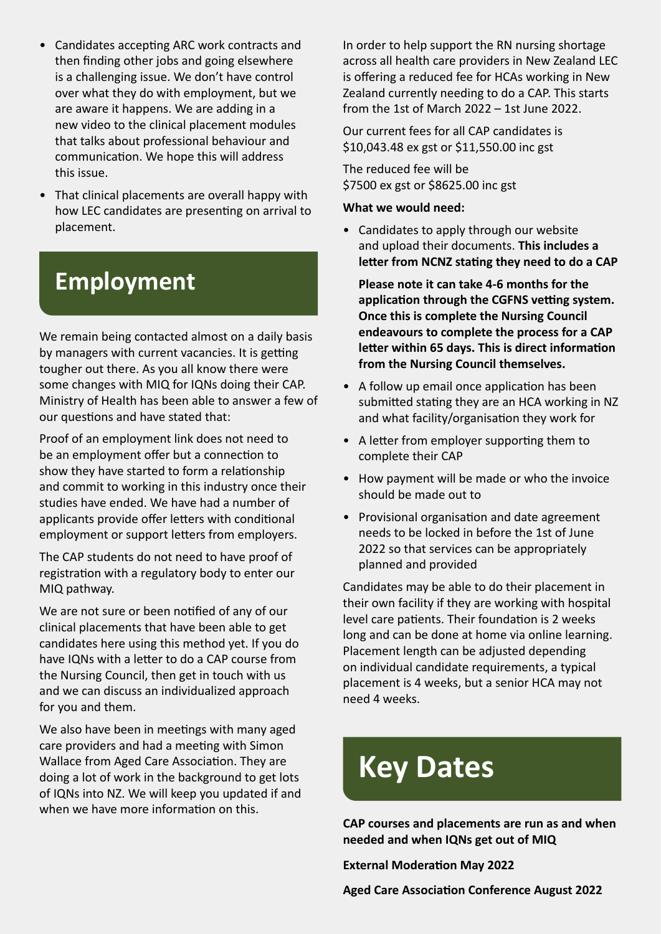- Candidates accepting ARC work contracts and then finding other jobs and going elsewhere is a challenging issue. We don't have control over what they do with employment, but we are aware it happens. We are adding in a new video to the clinical placement modules that talks about professional behaviour and communication. We hope this will address this issue.
- That clinical placements are overall happy with how LEC candidates are presenting on arrival to placement.

### **Employment**

We remain being contacted almost on a daily basis by managers with current vacancies. It is getting tougher out there. As you all know there were some changes with MIQ for IQNs doing their CAP. Ministry of Health has been able to answer a few of our questions and have stated that:

Proof of an employment link does not need to be an employment offer but a connection to show they have started to form a relationship and commit to working in this industry once their studies have ended. We have had a number of applicants provide offer letters with conditional employment or support letters from employers.

The CAP students do not need to have proof of registration with a regulatory body to enter our MIQ pathway.

We are not sure or been notified of any of our clinical placements that have been able to get candidates here using this method yet. If you do have IQNs with a letter to do a CAP course from the Nursing Council, then get in touch with us and we can discuss an individualized approach for you and them.

We also have been in meetings with many aged care providers and had a meeting with Simon Wallace from Aged Care Association. They are doing a lot of work in the background to get lots of IQNs into NZ. We will keep you updated if and when we have more information on this.

In order to help support the RN nursing shortage across all health care providers in New Zealand LEC is offering a reduced fee for HCAs working in New Zealand currently needing to do a CAP. This starts from the 1st of March 2022 – 1st June 2022.

Our current fees for all CAP candidates is \$10,043.48 ex gst or \$11,550.00 inc gst

The reduced fee will be \$7500 ex gst or \$8625.00 inc gst

#### **What we would need:**

• Candidates to apply through our website and upload their documents. **This includes a letter from NCNZ stating they need to do a CAP**

**Please note it can take 4-6 months for the application through the CGFNS vetting system. Once this is complete the Nursing Council endeavours to complete the process for a CAP letter within 65 days. This is direct information from the Nursing Council themselves.**

- A follow up email once application has been submitted stating they are an HCA working in NZ and what facility/organisation they work for
- A letter from employer supporting them to complete their CAP
- How payment will be made or who the invoice should be made out to
- Provisional organisation and date agreement needs to be locked in before the 1st of June 2022 so that services can be appropriately planned and provided

Candidates may be able to do their placement in their own facility if they are working with hospital level care patients. Their foundation is 2 weeks long and can be done at home via online learning. Placement length can be adjusted depending on individual candidate requirements, a typical placement is 4 weeks, but a senior HCA may not need 4 weeks.

# **Key Dates**

**CAP courses and placements are run as and when needed and when IQNs get out of MIQ**

**External Moderation May 2022**

**Aged Care Association Conference August 2022**